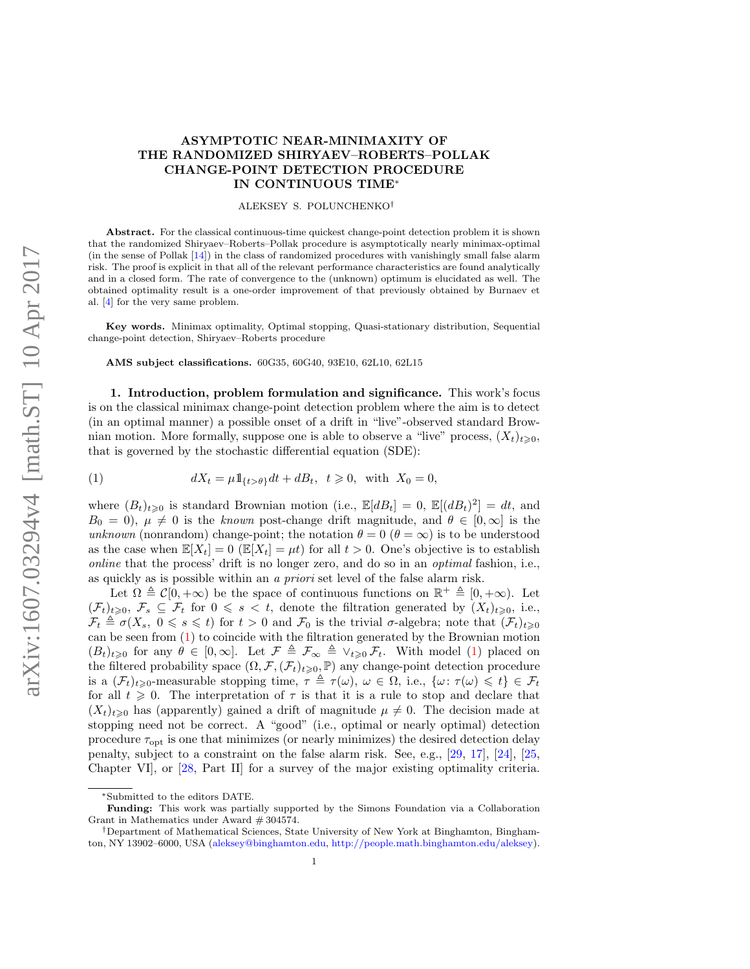# ASYMPTOTIC NEAR-MINIMAXITY OF THE RANDOMIZED SHIRYAEV–ROBERTS–POLLAK CHANGE-POINT DETECTION PROCEDURE IN CONTINUOUS TIME<sup>∗</sup>

#### ALEKSEY S. POLUNCHENKO†

Abstract. For the classical continuous-time quickest change-point detection problem it is shown that the randomized Shiryaev–Roberts–Pollak procedure is asymptotically nearly minimax-optimal (in the sense of Pollak [\[14\]](#page-13-0)) in the class of randomized procedures with vanishingly small false alarm risk. The proof is explicit in that all of the relevant performance characteristics are found analytically and in a closed form. The rate of convergence to the (unknown) optimum is elucidated as well. The obtained optimality result is a one-order improvement of that previously obtained by Burnaev et al. [\[4\]](#page-13-1) for the very same problem.

Key words. Minimax optimality, Optimal stopping, Quasi-stationary distribution, Sequential change-point detection, Shiryaev–Roberts procedure

AMS subject classifications. 60G35, 60G40, 93E10, 62L10, 62L15

1. Introduction, problem formulation and significance. This work's focus is on the classical minimax change-point detection problem where the aim is to detect (in an optimal manner) a possible onset of a drift in "live"-observed standard Brownian motion. More formally, suppose one is able to observe a "live" process,  $(X_t)_{t\geq0}$ , that is governed by the stochastic differential equation (SDE):

<span id="page-0-0"></span>(1) 
$$
dX_t = \mu 1_{\{t > \theta\}} dt + dB_t, \quad t \ge 0, \text{ with } X_0 = 0,
$$

where  $(B_t)_{t\geqslant0}$  is standard Brownian motion (i.e.,  $\mathbb{E}[dB_t] = 0$ ,  $\mathbb{E}[(dB_t)^2] = dt$ , and  $B_0 = 0$ ,  $\mu \neq 0$  is the known post-change drift magnitude, and  $\theta \in [0,\infty]$  is the unknown (nonrandom) change-point; the notation  $\theta = 0$  ( $\theta = \infty$ ) is to be understood as the case when  $\mathbb{E}[X_t] = 0$  ( $\mathbb{E}[X_t] = \mu t$ ) for all  $t > 0$ . One's objective is to establish online that the process' drift is no longer zero, and do so in an optimal fashion, i.e., as quickly as is possible within an a priori set level of the false alarm risk.

Let  $\Omega \triangleq C[0, +\infty)$  be the space of continuous functions on  $\mathbb{R}^+ \triangleq [0, +\infty)$ . Let  $(\mathcal{F}_t)_{t\geqslant0}, \mathcal{F}_s \subseteq \mathcal{F}_t$  for  $0 \leqslant s < t$ , denote the filtration generated by  $(X_t)_{t\geqslant0}$ , i.e.,  $\mathcal{F}_t \triangleq \sigma(X_s, 0 \leq s \leq t)$  for  $t > 0$  and  $\mathcal{F}_0$  is the trivial  $\sigma$ -algebra; note that  $(\mathcal{F}_t)_{t \geq 0}$ can be seen from [\(1\)](#page-0-0) to coincide with the filtration generated by the Brownian motion  $(B_t)_{t\geq0}$  for any  $\theta \in [0,\infty]$ . Let  $\mathcal{F} \triangleq \mathcal{F}_{\infty} \triangleq \vee_{t\geq0} \mathcal{F}_t$ . With model [\(1\)](#page-0-0) placed on the filtered probability space  $(\Omega, \mathcal{F}, (\mathcal{F}_t)_{t\geq 0}, \mathbb{P})$  any change-point detection procedure is a  $(\mathcal{F}_t)_{t>0}$ -measurable stopping time,  $\tau \triangleq \tau(\omega)$ ,  $\omega \in \Omega$ , i.e.,  $\{\omega : \tau(\omega) \leq t\} \in \mathcal{F}_t$ for all  $t \geq 0$ . The interpretation of  $\tau$  is that it is a rule to stop and declare that  $(X_t)_{t\geqslant0}$  has (apparently) gained a drift of magnitude  $\mu\neq0$ . The decision made at stopping need not be correct. A "good" (i.e., optimal or nearly optimal) detection procedure  $\tau_{\rm opt}$  is one that minimizes (or nearly minimizes) the desired detection delay penalty, subject to a constraint on the false alarm risk. See, e.g., [\[29,](#page-14-0) [17\]](#page-14-1), [\[24\]](#page-14-2), [\[25,](#page-14-3) Chapter VI], or [\[28,](#page-14-4) Part II] for a survey of the major existing optimality criteria.

<sup>∗</sup>Submitted to the editors DATE.

Funding: This work was partially supported by the Simons Foundation via a Collaboration Grant in Mathematics under Award # 304574.

<sup>†</sup>Department of Mathematical Sciences, State University of New York at Binghamton, Binghamton, NY 13902–6000, USA [\(aleksey@binghamton.edu,](mailto:aleksey@binghamton.edu) [http://people.math.binghamton.edu/aleksey\)](http://people.math.binghamton.edu/aleksey). 1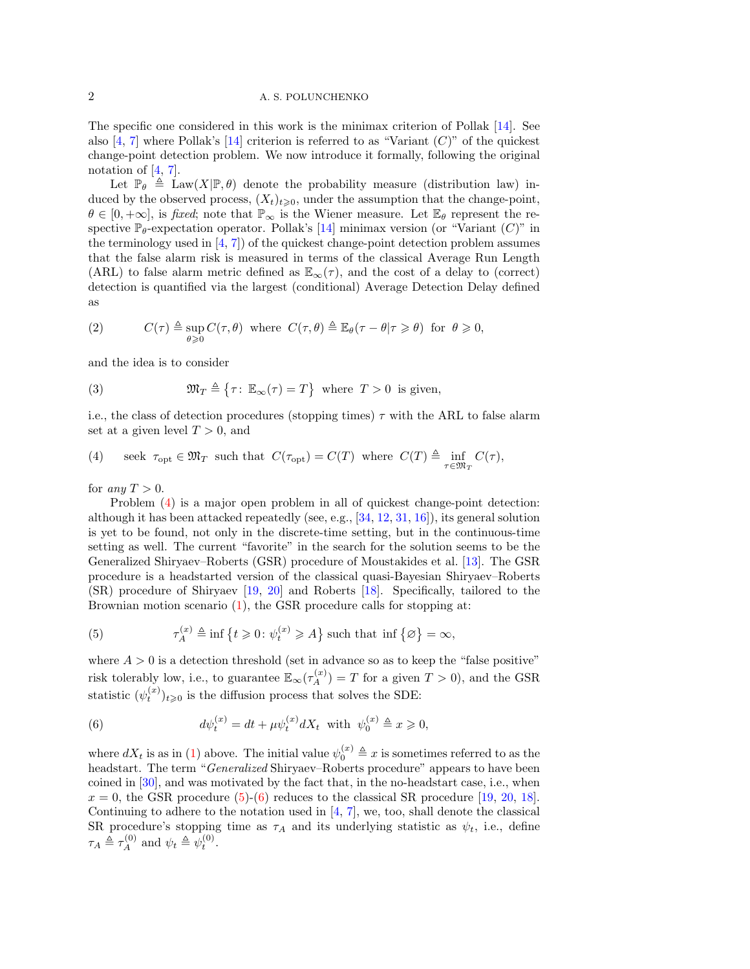### 2 A. S. POLUNCHENKO

The specific one considered in this work is the minimax criterion of Pollak [\[14\]](#page-13-0). See also [\[4,](#page-13-1) [7\]](#page-13-2) where Pollak's [\[14\]](#page-13-0) criterion is referred to as "Variant  $(C)$ " of the quickest change-point detection problem. We now introduce it formally, following the original notation of  $[4, 7]$  $[4, 7]$ .

Let  $\mathbb{P}_{\theta} \triangleq \text{Law}(X|\mathbb{P}, \theta)$  denote the probability measure (distribution law) induced by the observed process,  $(X_t)_{t\geqslant0}$ , under the assumption that the change-point,  $\theta \in [0, +\infty]$ , is fixed; note that  $\mathbb{P}_{\infty}$  is the Wiener measure. Let  $\mathbb{E}_{\theta}$  represent the respective  $\mathbb{P}_{\theta}$ -expectation operator. Pollak's [\[14\]](#page-13-0) minimax version (or "Variant  $(C)$ " in the terminology used in  $[4, 7]$  $[4, 7]$  of the quickest change-point detection problem assumes that the false alarm risk is measured in terms of the classical Average Run Length (ARL) to false alarm metric defined as  $\mathbb{E}_{\infty}(\tau)$ , and the cost of a delay to (correct) detection is quantified via the largest (conditional) Average Detection Delay defined as

<span id="page-1-3"></span>(2) 
$$
C(\tau) \triangleq \sup_{\theta \geq 0} C(\tau, \theta) \text{ where } C(\tau, \theta) \triangleq \mathbb{E}_{\theta}(\tau - \theta | \tau \geq \theta) \text{ for } \theta \geq 0,
$$

and the idea is to consider

<span id="page-1-4"></span>(3) 
$$
\mathfrak{M}_T \triangleq \{ \tau \colon \mathbb{E}_{\infty}(\tau) = T \} \text{ where } T > 0 \text{ is given,}
$$

i.e., the class of detection procedures (stopping times)  $\tau$  with the ARL to false alarm set at a given level  $T > 0$ , and

<span id="page-1-0"></span>(4) seek  $\tau_{\text{opt}} \in \mathfrak{M}_T$  such that  $C(\tau_{\text{opt}}) = C(T)$  where  $C(T) \triangleq \inf_{\tau \in \mathfrak{M}_T} C(\tau)$ ,

for any  $T > 0$ .

Problem [\(4\)](#page-1-0) is a major open problem in all of quickest change-point detection: although it has been attacked repeatedly (see, e.g., [\[34,](#page-14-5) [12,](#page-13-3) [31,](#page-14-6) [16\]](#page-14-7)), its general solution is yet to be found, not only in the discrete-time setting, but in the continuous-time setting as well. The current "favorite" in the search for the solution seems to be the Generalized Shiryaev–Roberts (GSR) procedure of Moustakides et al. [\[13\]](#page-13-4). The GSR procedure is a headstarted version of the classical quasi-Bayesian Shiryaev–Roberts (SR) procedure of Shiryaev [\[19,](#page-14-8) [20\]](#page-14-9) and Roberts [\[18\]](#page-14-10). Specifically, tailored to the Brownian motion scenario [\(1\)](#page-0-0), the GSR procedure calls for stopping at:

<span id="page-1-1"></span>(5) 
$$
\tau_A^{(x)} \triangleq \inf \{ t \geq 0 \colon \psi_t^{(x)} \geq A \} \text{ such that } \inf \{ \varnothing \} = \infty,
$$

where  $A > 0$  is a detection threshold (set in advance so as to keep the "false positive" risk tolerably low, i.e., to guarantee  $\mathbb{E}_{\infty}(\tau_A^{(x)}) = T$  for a given  $T > 0$ ), and the GSR statistic  $(\psi_t^{(x)})_{t\geq 0}$  is the diffusion process that solves the SDE:

<span id="page-1-2"></span>(6) 
$$
d\psi_t^{(x)} = dt + \mu \psi_t^{(x)} dX_t \text{ with } \psi_0^{(x)} \triangleq x \geqslant 0,
$$

where  $dX_t$  is as in [\(1\)](#page-0-0) above. The initial value  $\psi_0^{(x)} \triangleq x$  is sometimes referred to as the headstart. The term "Generalized Shiryaev–Roberts procedure" appears to have been coined in [\[30\]](#page-14-11), and was motivated by the fact that, in the no-headstart case, i.e., when  $x = 0$ , the GSR procedure [\(5\)](#page-1-1)-[\(6\)](#page-1-2) reduces to the classical SR procedure [\[19,](#page-14-8) [20,](#page-14-9) [18\]](#page-14-10). Continuing to adhere to the notation used in [\[4,](#page-13-1) [7\]](#page-13-2), we, too, shall denote the classical SR procedure's stopping time as  $\tau_A$  and its underlying statistic as  $\psi_t$ , i.e., define  $\tau_A \triangleq \tau_A^{(0)}$  and  $\psi_t \triangleq \psi_t^{(0)}$ .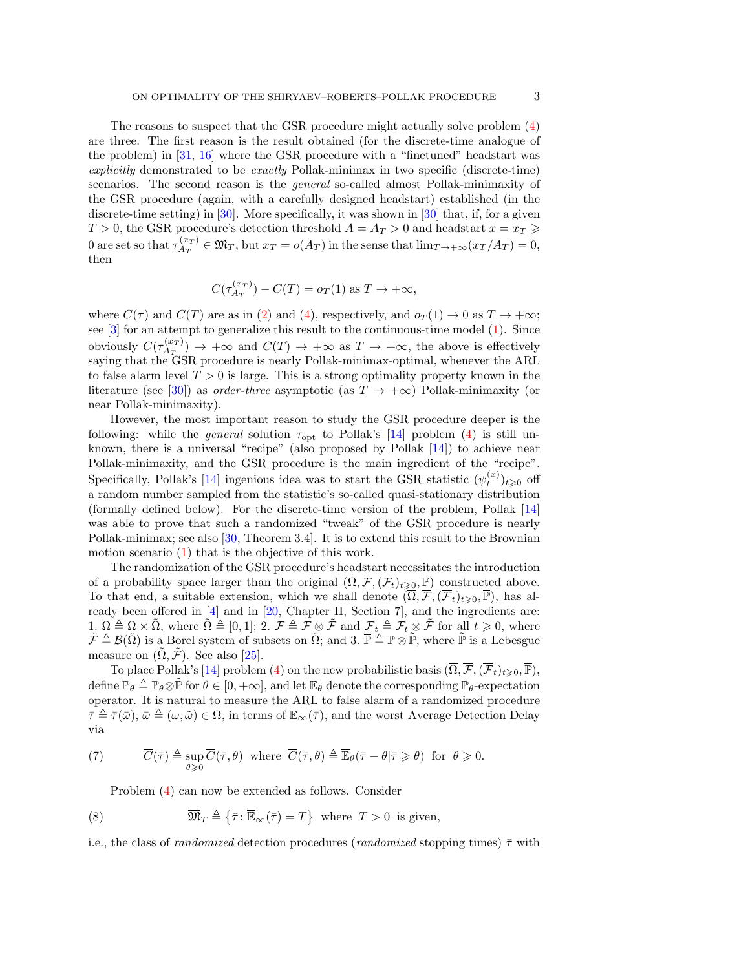The reasons to suspect that the GSR procedure might actually solve problem [\(4\)](#page-1-0) are three. The first reason is the result obtained (for the discrete-time analogue of the problem) in [\[31,](#page-14-6) [16\]](#page-14-7) where the GSR procedure with a "finetuned" headstart was explicitly demonstrated to be exactly Pollak-minimax in two specific (discrete-time) scenarios. The second reason is the *general* so-called almost Pollak-minimaxity of the GSR procedure (again, with a carefully designed headstart) established (in the discrete-time setting) in [\[30\]](#page-14-11). More specifically, it was shown in [30] that, if, for a given  $T > 0$ , the GSR procedure's detection threshold  $A = A_T > 0$  and headstart  $x = x_T \ge 0$ 0 are set so that  $\tau_{A_T}^{(x_T)}$  $A_T^{(x_T)} \in \mathfrak{M}_T$ , but  $x_T = o(A_T)$  in the sense that  $\lim_{T \to +\infty} (x_T/A_T) = 0$ , then

$$
C(\tau_{A_T}^{(x_T)}) - C(T) = o_T(1) \text{ as } T \to +\infty,
$$

where  $C(\tau)$  and  $C(T)$  are as in [\(2\)](#page-1-3) and [\(4\)](#page-1-0), respectively, and  $o_{T}(1) \rightarrow 0$  as  $T \rightarrow +\infty$ ; see [\[3\]](#page-13-5) for an attempt to generalize this result to the continuous-time model [\(1\)](#page-0-0). Since obviously  $C(\tau_{A_T}^{(x_T)})$  $\Lambda_{T}^{(x_T)}$   $\to +\infty$  and  $C(T) \to +\infty$  as  $T \to +\infty$ , the above is effectively saying that the GSR procedure is nearly Pollak-minimax-optimal, whenever the ARL to false alarm level  $T > 0$  is large. This is a strong optimality property known in the literature (see [\[30\]](#page-14-11)) as *order-three* asymptotic (as  $T \rightarrow +\infty$ ) Pollak-minimaxity (or near Pollak-minimaxity).

However, the most important reason to study the GSR procedure deeper is the following: while the *general* solution  $\tau_{opt}$  to Pollak's [\[14\]](#page-13-0) problem [\(4\)](#page-1-0) is still unknown, there is a universal "recipe" (also proposed by Pollak [\[14\]](#page-13-0)) to achieve near Pollak-minimaxity, and the GSR procedure is the main ingredient of the "recipe". Specifically, Pollak's [\[14\]](#page-13-0) ingenious idea was to start the GSR statistic  $(\psi_t^{(x)})_{t \geqslant 0}$  off a random number sampled from the statistic's so-called quasi-stationary distribution (formally defined below). For the discrete-time version of the problem, Pollak [\[14\]](#page-13-0) was able to prove that such a randomized "tweak" of the GSR procedure is nearly Pollak-minimax; see also [\[30,](#page-14-11) Theorem 3.4]. It is to extend this result to the Brownian motion scenario [\(1\)](#page-0-0) that is the objective of this work.

The randomization of the GSR procedure's headstart necessitates the introduction of a probability space larger than the original  $(\Omega, \mathcal{F}, (\mathcal{F}_t)_{t\geqslant0}, \mathbb{P})$  constructed above. To that end, a suitable extension, which we shall denote  $(\overline{\Omega}, \overline{\mathcal{F}}, (\overline{\mathcal{F}}_t)_{t\geqslant0}, \overline{\mathbb{P}})$ , has already been offered in [\[4\]](#page-13-1) and in [\[20,](#page-14-9) Chapter II, Section 7], and the ingredients are: 1.  $\overline{\Omega} \triangleq \Omega \times \overline{\Omega}$ , where  $\overline{\Omega} \triangleq [0, 1];$   $\overline{\mathcal{I}} \triangleq \overline{\mathcal{F}} \triangleq \mathcal{F} \otimes \overline{\mathcal{F}}$  and  $\overline{\mathcal{F}}_t \triangleq \overline{\mathcal{F}}_t \otimes \overline{\mathcal{F}}$  for all  $t \geq 0$ , where  $\tilde{\mathcal{F}} \triangleq \mathcal{B}(\tilde{\Omega})$  is a Borel system of subsets on  $\tilde{\Omega}$ ; and 3.  $\overline{\mathbb{P}} \triangleq \mathbb{P} \otimes \tilde{\mathbb{P}}$ , where  $\tilde{\mathbb{P}}$  is a Lebesgue measure on  $(\Omega, \mathcal{F})$ . See also [\[25\]](#page-14-3).

To place Pollak's [\[14\]](#page-13-0) problem [\(4\)](#page-1-0) on the new probabilistic basis  $(\overline{\Omega}, \overline{\mathcal{F}}, (\overline{\mathcal{F}}_t)_{t\geq0}, \overline{\mathbb{P}})$ , define  $\overline{\mathbb{P}}_{\theta} \triangleq \mathbb{P}_{\theta} \otimes \tilde{\mathbb{P}}$  for  $\theta \in [0, +\infty]$ , and let  $\overline{\mathbb{E}}_{\theta}$  denote the corresponding  $\overline{\mathbb{P}}_{\theta}$ -expectation operator. It is natural to measure the ARL to false alarm of a randomized procedure  $\bar{\tau} \triangleq \bar{\tau}(\bar{\omega}), \bar{\omega} \triangleq (\omega, \tilde{\omega}) \in \overline{\Omega}$ , in terms of  $\overline{\mathbb{E}}_{\infty}(\bar{\tau}),$  and the worst Average Detection Delay via

(7) 
$$
\overline{C}(\overline{\tau}) \triangleq \sup_{\theta \geq 0} \overline{C}(\overline{\tau}, \theta) \text{ where } \overline{C}(\overline{\tau}, \theta) \triangleq \overline{\mathbb{E}}_{\theta}(\overline{\tau} - \theta | \overline{\tau} \geq \theta) \text{ for } \theta \geq 0.
$$

<span id="page-2-1"></span><span id="page-2-0"></span>Problem [\(4\)](#page-1-0) can now be extended as follows. Consider

(8) 
$$
\overline{\mathfrak{M}}_T \triangleq \{ \overline{\tau} \colon \overline{\mathbb{E}}_{\infty}(\overline{\tau}) = T \} \text{ where } T > 0 \text{ is given,}
$$

i.e., the class of *randomized* detection procedures (*randomized* stopping times)  $\bar{\tau}$  with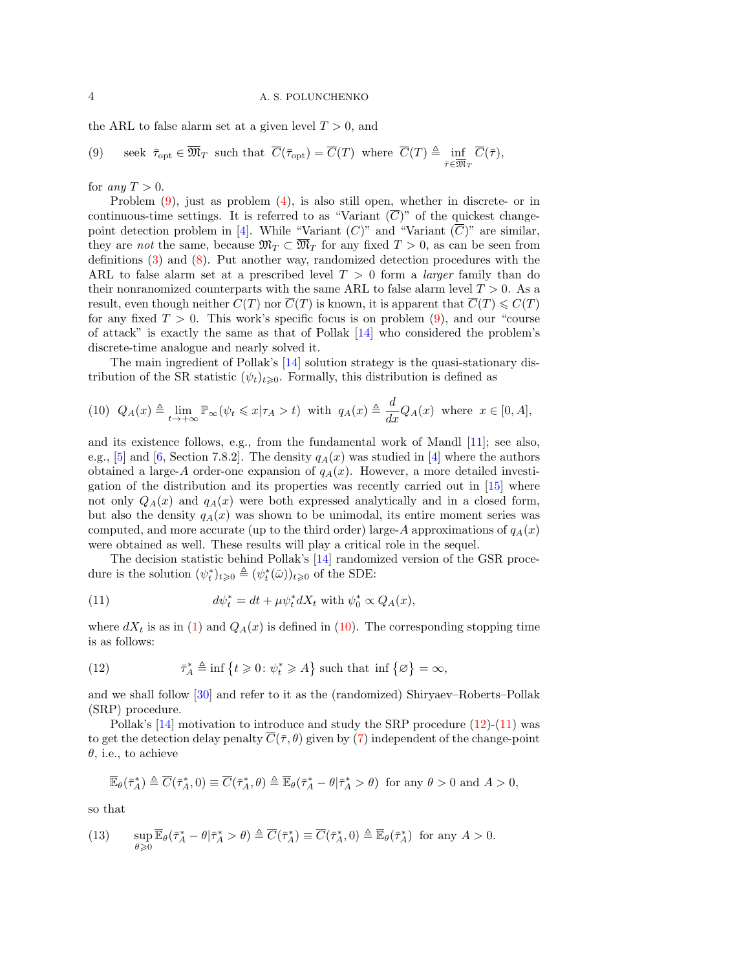the ARL to false alarm set at a given level  $T > 0$ , and

<span id="page-3-0"></span>(9) seek 
$$
\bar{\tau}_{\text{opt}} \in \overline{\mathfrak{M}}_T
$$
 such that  $\overline{C}(\bar{\tau}_{\text{opt}}) = \overline{C}(T)$  where  $\overline{C}(T) \triangleq \inf_{\bar{\tau} \in \overline{\mathfrak{M}}_T} \overline{C}(\bar{\tau}),$ 

for any  $T > 0$ .

Problem [\(9\)](#page-3-0), just as problem [\(4\)](#page-1-0), is also still open, whether in discrete- or in continuous-time settings. It is referred to as "Variant  $(\overline{C})$ " of the quickest change-point detection problem in [\[4\]](#page-13-1). While "Variant  $(C)$ " and "Variant  $(\overline{C})$ " are similar, they are not the same, because  $\mathfrak{M}_T \subset \mathfrak{M}_T$  for any fixed  $T > 0$ , as can be seen from definitions [\(3\)](#page-1-4) and [\(8\)](#page-2-0). Put another way, randomized detection procedures with the ARL to false alarm set at a prescribed level  $T > 0$  form a *larger* family than do their nonranomized counterparts with the same ARL to false alarm level  $T > 0$ . As a result, even though neither  $C(T)$  nor  $\overline{C}(T)$  is known, it is apparent that  $\overline{C}(T) \leqslant C(T)$ for any fixed  $T > 0$ . This work's specific focus is on problem [\(9\)](#page-3-0), and our "course of attack" is exactly the same as that of Pollak [\[14\]](#page-13-0) who considered the problem's discrete-time analogue and nearly solved it.

The main ingredient of Pollak's [\[14\]](#page-13-0) solution strategy is the quasi-stationary distribution of the SR statistic  $(\psi_t)_{t\geqslant0}$ . Formally, this distribution is defined as

<span id="page-3-1"></span>(10) 
$$
Q_A(x) \triangleq \lim_{t \to +\infty} \mathbb{P}_{\infty}(\psi_t \leq x | \tau_A > t)
$$
 with  $q_A(x) \triangleq \frac{d}{dx} Q_A(x)$  where  $x \in [0, A]$ ,

and its existence follows, e.g., from the fundamental work of Mandl [\[11\]](#page-13-6); see also, e.g., [\[5\]](#page-13-7) and [\[6,](#page-13-8) Section 7.8.2]. The density  $q_A(x)$  was studied in [\[4\]](#page-13-1) where the authors obtained a large-A order-one expansion of  $q_A(x)$ . However, a more detailed investigation of the distribution and its properties was recently carried out in [\[15\]](#page-13-9) where not only  $Q_A(x)$  and  $q_A(x)$  were both expressed analytically and in a closed form, but also the density  $q_A(x)$  was shown to be unimodal, its entire moment series was computed, and more accurate (up to the third order) large-A approximations of  $q_A(x)$ were obtained as well. These results will play a critical role in the sequel.

The decision statistic behind Pollak's [\[14\]](#page-13-0) randomized version of the GSR procedure is the solution  $(\psi_t^*)_{t\geqslant0} \triangleq (\psi_t^*(\bar{\omega}))_{t\geqslant0}$  of the SDE:

<span id="page-3-3"></span>(11) 
$$
d\psi_t^* = dt + \mu \psi_t^* dX_t \text{ with } \psi_0^* \propto Q_A(x),
$$

where  $dX_t$  is as in [\(1\)](#page-0-0) and  $Q_A(x)$  is defined in [\(10\)](#page-3-1). The corresponding stopping time is as follows:

<span id="page-3-2"></span>(12) 
$$
\bar{\tau}_A^* \triangleq \inf \{ t \geq 0 \colon \psi_t^* \geq A \} \text{ such that } \inf \{ \varnothing \} = \infty,
$$

and we shall follow [\[30\]](#page-14-11) and refer to it as the (randomized) Shiryaev–Roberts–Pollak (SRP) procedure.

Pollak's [\[14\]](#page-13-0) motivation to introduce and study the SRP procedure [\(12\)](#page-3-2)-[\(11\)](#page-3-3) was to get the detection delay penalty  $\overline{C}(\overline{\tau}, \theta)$  given by [\(7\)](#page-2-1) independent of the change-point  $\theta$ , i.e., to achieve

$$
\overline{\mathbb{E}}_{\theta}(\overline{\tau}_A^*) \triangleq \overline{C}(\overline{\tau}_A^*, 0) \equiv \overline{C}(\overline{\tau}_A^*, \theta) \triangleq \overline{\mathbb{E}}_{\theta}(\overline{\tau}_A^* - \theta | \overline{\tau}_A^* > \theta) \text{ for any } \theta > 0 \text{ and } A > 0,
$$

so that

<span id="page-3-4"></span>(13) 
$$
\sup_{\theta \geq 0} \overline{\mathbb{E}}_{\theta}(\overline{\tau}_A^* - \theta | \overline{\tau}_A^* > \theta) \triangleq \overline{C}(\overline{\tau}_A^*) \equiv \overline{C}(\overline{\tau}_A^*, 0) \triangleq \overline{\mathbb{E}}_{\theta}(\overline{\tau}_A^*) \text{ for any } A > 0.
$$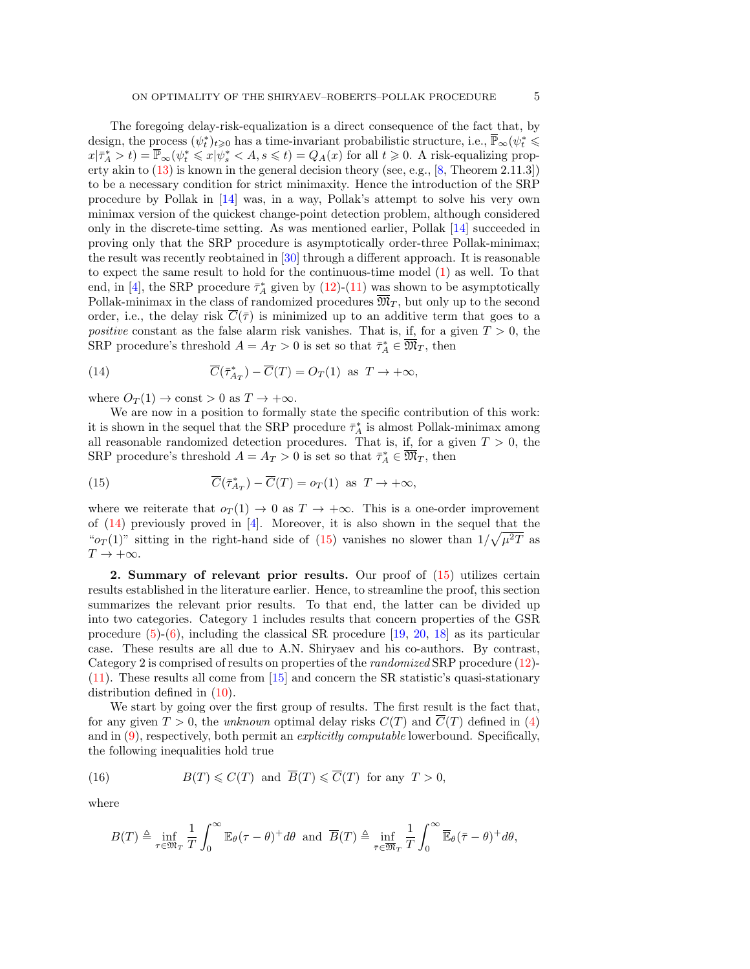The foregoing delay-risk-equalization is a direct consequence of the fact that, by design, the process  $(\psi_t^*)_{t\geqslant0}$  has a time-invariant probabilistic structure, i.e.,  $\overline{\mathbb{P}}_{\infty}(\psi_t^*\leqslant)$  $x|\bar{\tau}_A^* > t) = \bar{\mathbb{P}}_{\infty}(\psi_t^* \leqslant x|\psi_s^* < A, s \leqslant t) = Q_A(x)$  for all  $t \geqslant 0$ . A risk-equalizing property akin to  $(13)$  is known in the general decision theory (see, e.g., [\[8,](#page-13-10) Theorem 2.11.3]) to be a necessary condition for strict minimaxity. Hence the introduction of the SRP procedure by Pollak in [\[14\]](#page-13-0) was, in a way, Pollak's attempt to solve his very own minimax version of the quickest change-point detection problem, although considered only in the discrete-time setting. As was mentioned earlier, Pollak [\[14\]](#page-13-0) succeeded in proving only that the SRP procedure is asymptotically order-three Pollak-minimax; the result was recently reobtained in [\[30\]](#page-14-11) through a different approach. It is reasonable to expect the same result to hold for the continuous-time model [\(1\)](#page-0-0) as well. To that end, in [\[4\]](#page-13-1), the SRP procedure  $\bar{\tau}_A^*$  given by [\(12\)](#page-3-2)-[\(11\)](#page-3-3) was shown to be asymptotically Pollak-minimax in the class of randomized procedures  $\overline{\mathfrak{M}}_T$ , but only up to the second order, i.e., the delay risk  $\overline{C}(\overline{\tau})$  is minimized up to an additive term that goes to a positive constant as the false alarm risk vanishes. That is, if, for a given  $T > 0$ , the SRP procedure's threshold  $A = A_T > 0$  is set so that  $\bar{\tau}_A^* \in \overline{\mathfrak{M}}_T$ , then

<span id="page-4-0"></span>(14) 
$$
\overline{C}(\overline{\tau}_{A_T}^*) - \overline{C}(T) = O_T(1) \text{ as } T \to +\infty,
$$

where  $O_T(1) \to \text{const} > 0$  as  $T \to +\infty$ .

We are now in a position to formally state the specific contribution of this work: it is shown in the sequel that the SRP procedure  $\bar{\tau}_A^*$  is almost Pollak-minimax among all reasonable randomized detection procedures. That is, if, for a given  $T > 0$ , the SRP procedure's threshold  $A = A_T > 0$  is set so that  $\bar{\tau}_A^* \in \overline{\mathfrak{M}}_T$ , then

<span id="page-4-1"></span>(15) 
$$
\overline{C}(\overline{\tau}_{A_T}^*) - \overline{C}(T) = o_T(1) \text{ as } T \to +\infty,
$$

where we reiterate that  $o_T(1) \rightarrow 0$  as  $T \rightarrow +\infty$ . This is a one-order improvement of [\(14\)](#page-4-0) previously proved in [\[4\]](#page-13-1). Moreover, it is also shown in the sequel that the " $o_T(1)$ " sitting in the right-hand side of [\(15\)](#page-4-1) vanishes no slower than  $1/\sqrt{\mu^2T}$  as  $T \rightarrow +\infty$ .

2. Summary of relevant prior results. Our proof of [\(15\)](#page-4-1) utilizes certain results established in the literature earlier. Hence, to streamline the proof, this section summarizes the relevant prior results. To that end, the latter can be divided up into two categories. Category 1 includes results that concern properties of the GSR procedure  $(5)-(6)$  $(5)-(6)$ , including the classical SR procedure  $[19, 20, 18]$  $[19, 20, 18]$  $[19, 20, 18]$  $[19, 20, 18]$  as its particular case. These results are all due to A.N. Shiryaev and his co-authors. By contrast, Category 2 is comprised of results on properties of the randomized SRP procedure [\(12\)](#page-3-2)- [\(11\)](#page-3-3). These results all come from [\[15\]](#page-13-9) and concern the SR statistic's quasi-stationary distribution defined in  $(10)$ .

We start by going over the first group of results. The first result is the fact that, for any given  $T > 0$ , the unknown optimal delay risks  $C(T)$  and  $\overline{C(T)}$  defined in [\(4\)](#page-1-0) and in [\(9\)](#page-3-0), respectively, both permit an explicitly computable lowerbound. Specifically, the following inequalities hold true

(16) 
$$
B(T) \leq C(T)
$$
 and  $\overline{B}(T) \leq \overline{C}(T)$  for any  $T > 0$ ,

where

<span id="page-4-2"></span>
$$
B(T) \triangleq \inf_{\tau \in \mathfrak{M}_T} \frac{1}{T} \int_0^\infty \mathbb{E}_{\theta}(\tau - \theta)^+ d\theta \text{ and } \overline{B}(T) \triangleq \inf_{\bar{\tau} \in \overline{\mathfrak{M}}_T} \frac{1}{T} \int_0^\infty \overline{\mathbb{E}}_{\theta}(\bar{\tau} - \theta)^+ d\theta,
$$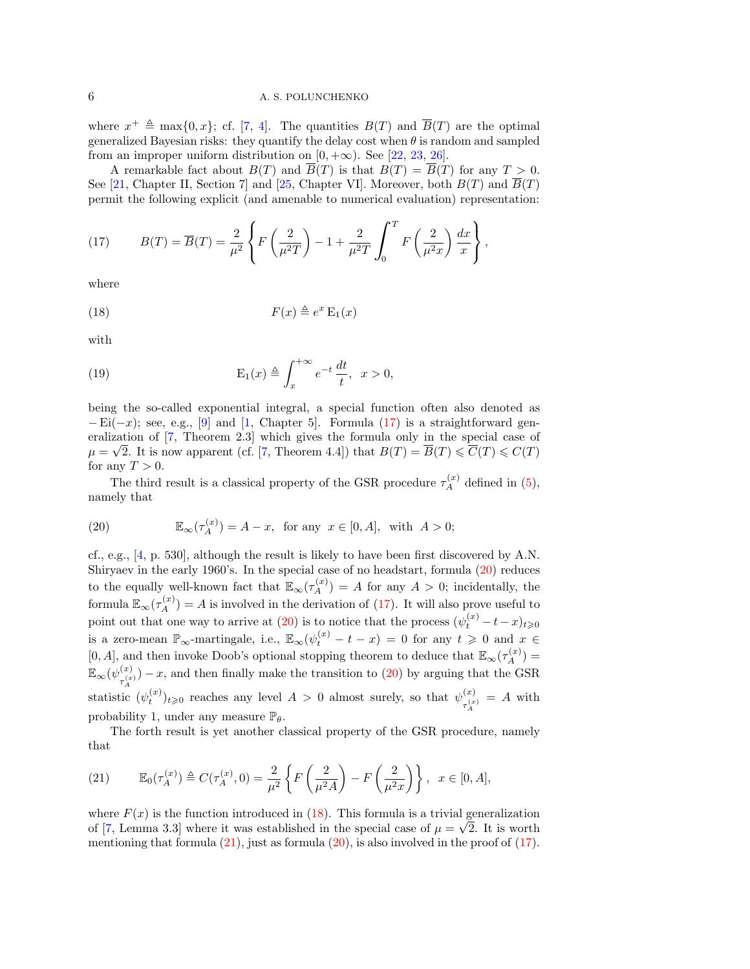# 6 **A. S. POLUNCHENKO**

where  $x^+ \triangleq \max\{0, x\}$ ; cf. [\[7,](#page-13-2) [4\]](#page-13-1). The quantities  $B(T)$  and  $\overline{B}(T)$  are the optimal generalized Bayesian risks: they quantify the delay cost when  $\theta$  is random and sampled from an improper uniform distribution on  $[0, +\infty)$ . See [\[22,](#page-14-12) [23,](#page-14-13) [26\]](#page-14-14).

A remarkable fact about  $B(T)$  and  $\overline{B}(T)$  is that  $B(T) = \overline{B}(T)$  for any  $T > 0$ . See [\[21,](#page-14-15) Chapter II, Section 7] and [\[25,](#page-14-3) Chapter VI]. Moreover, both  $B(T)$  and  $\overline{B}(T)$ permit the following explicit (and amenable to numerical evaluation) representation:

<span id="page-5-0"></span>(17) 
$$
B(T) = \overline{B}(T) = \frac{2}{\mu^2} \left\{ F\left(\frac{2}{\mu^2 T}\right) - 1 + \frac{2}{\mu^2 T} \int_0^T F\left(\frac{2}{\mu^2 x}\right) \frac{dx}{x} \right\},
$$

where

<span id="page-5-2"></span>
$$
(18) \t\t\t F(x) \triangleq e^x \mathcal{E}_1(x)
$$

with

<span id="page-5-4"></span>(19) 
$$
E_1(x) \triangleq \int_x^{+\infty} e^{-t} \frac{dt}{t}, \quad x > 0,
$$

being the so-called exponential integral, a special function often also denoted as  $-Ei(-x)$ ; see, e.g., [\[9\]](#page-13-11) and [\[1,](#page-13-12) Chapter 5]. Formula [\(17\)](#page-5-0) is a straightforward gen-eralization of [\[7,](#page-13-2) Theorem 2.3] which gives the formula only in the special case of  $\mu = \sqrt{2}$ . It is now apparent (cf. [\[7,](#page-13-2) Theorem 4.4]) that  $B(T) = \overline{B}(T) \leq \overline{C}(T) \leq C(T)$ for any  $T > 0$ .

The third result is a classical property of the GSR procedure  $\tau_A^{(x)}$  defined in [\(5\)](#page-1-1), namely that

<span id="page-5-1"></span>(20) 
$$
\mathbb{E}_{\infty}(\tau_A^{(x)}) = A - x, \text{ for any } x \in [0, A], \text{ with } A > 0;
$$

cf., e.g., [\[4,](#page-13-1) p. 530], although the result is likely to have been first discovered by A.N. Shiryaev in the early 1960's. In the special case of no headstart, formula [\(20\)](#page-5-1) reduces to the equally well-known fact that  $\mathbb{E}_{\infty}(\tau_A^{(x)}) = A$  for any  $A > 0$ ; incidentally, the formula  $\mathbb{E}_{\infty}(\tau_A^{(x)}) = A$  is involved in the derivation of [\(17\)](#page-5-0). It will also prove useful to point out that one way to arrive at  $(20)$  is to notice that the process  $(\psi_t^{(x)} - t - x)_{t \geq 0}$ is a zero-mean  $\mathbb{P}_{\infty}$ -martingale, i.e.,  $\mathbb{E}_{\infty}(\psi_t^{(x)} - t - x) = 0$  for any  $t \geq 0$  and  $x \in$ [0, A], and then invoke Doob's optional stopping theorem to deduce that  $\mathbb{E}_{\infty}(\tau_A^{(x)}) =$  $\mathbb{E}_\infty(\psi_{\;\;(x}^{(x)}$  $\tau_A^{(x)}$  – x, and then finally make the transition to [\(20\)](#page-5-1) by arguing that the GSR statistic  $(\psi_t^{(x)})_{t\geqslant0}$  reaches any level  $A > 0$  almost surely, so that  $\psi_{\tau^{(x)}}^{(x)}$  $\frac{\tau(x)}{\tau_A^{(x)}} = A$  with probability 1, under any measure  $\mathbb{P}_{\theta}$ .

The forth result is yet another classical property of the GSR procedure, namely that

<span id="page-5-3"></span>(21) 
$$
\mathbb{E}_0(\tau_A^{(x)}) \triangleq C(\tau_A^{(x)}, 0) = \frac{2}{\mu^2} \left\{ F\left(\frac{2}{\mu^2 A}\right) - F\left(\frac{2}{\mu^2 x}\right) \right\}, \quad x \in [0, A],
$$

where  $F(x)$  is the function introduced in [\(18\)](#page-5-2). This formula is a trivial generalization of [\[7,](#page-13-2) Lemma 3.3] where it was established in the special case of  $\mu = \sqrt{2}$ . It is worth mentioning that formula  $(21)$ , just as formula  $(20)$ , is also involved in the proof of  $(17)$ .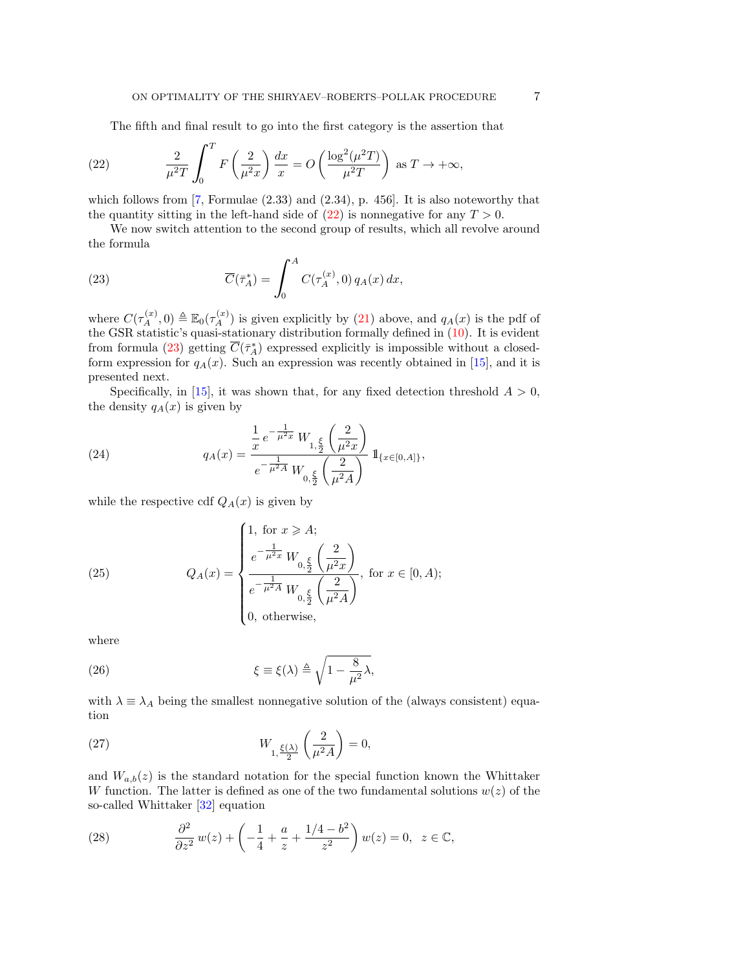<span id="page-6-0"></span>The fifth and final result to go into the first category is the assertion that

(22) 
$$
\frac{2}{\mu^2 T} \int_0^T F\left(\frac{2}{\mu^2 x}\right) \frac{dx}{x} = O\left(\frac{\log^2(\mu^2 T)}{\mu^2 T}\right) \text{ as } T \to +\infty,
$$

which follows from [\[7,](#page-13-2) Formulae (2.33) and (2.34), p. 456]. It is also noteworthy that the quantity sitting in the left-hand side of  $(22)$  is nonnegative for any  $T > 0$ .

We now switch attention to the second group of results, which all revolve around the formula

<span id="page-6-1"></span>(23) 
$$
\overline{C}(\overline{\tau}_A^*) = \int_0^A C(\tau_A^{(x)}, 0) q_A(x) dx,
$$

where  $C(\tau_A^{(x)},0) \triangleq \mathbb{E}_0(\tau_A^{(x)})$  is given explicitly by [\(21\)](#page-5-3) above, and  $q_A(x)$  is the pdf of the GSR statistic's quasi-stationary distribution formally defined in [\(10\)](#page-3-1). It is evident from formula [\(23\)](#page-6-1) getting  $\overline{C}(\overline{\tau}_A^*)$  expressed explicitly is impossible without a closedform expression for  $q_A(x)$ . Such an expression was recently obtained in [\[15\]](#page-13-9), and it is presented next.

Specifically, in [\[15\]](#page-13-9), it was shown that, for any fixed detection threshold  $A > 0$ , the density  $q_A(x)$  is given by

<span id="page-6-3"></span>(24) 
$$
q_A(x) = \frac{\frac{1}{x} e^{-\frac{1}{\mu^2 x}} W_{1, \frac{\xi}{2}} \left(\frac{2}{\mu^2 x}\right)}{e^{-\frac{1}{\mu^2 A}} W_{0, \frac{\xi}{2}} \left(\frac{2}{\mu^2 A}\right)} \mathbb{1}_{\{x \in [0, A]\}},
$$

while the respective cdf  $Q_A(x)$  is given by

<span id="page-6-4"></span>(25) 
$$
Q_A(x) = \begin{cases} 1, \text{ for } x \geqslant A; \\ e^{-\frac{1}{\mu^2 x}} W_{0, \frac{\xi}{2}} \left( \frac{2}{\mu^2 x} \right) \\ \frac{1}{e^{-\frac{1}{\mu^2 A}} W_{0, \frac{\xi}{2}} \left( \frac{2}{\mu^2 A} \right)}, \text{ for } x \in [0, A); \\ 0, \text{ otherwise,} \end{cases}
$$

where

<span id="page-6-6"></span>(26) 
$$
\xi \equiv \xi(\lambda) \triangleq \sqrt{1 - \frac{8}{\mu^2} \lambda},
$$

with  $\lambda \equiv \lambda_A$  being the smallest nonnegative solution of the (always consistent) equation

<span id="page-6-5"></span>(27) 
$$
W_{1,\frac{\xi(\lambda)}{2}}\left(\frac{2}{\mu^2 A}\right) = 0,
$$

and  $W_{a,b}(z)$  is the standard notation for the special function known the Whittaker W function. The latter is defined as one of the two fundamental solutions  $w(z)$  of the so-called Whittaker [\[32\]](#page-14-16) equation

<span id="page-6-2"></span>(28) 
$$
\frac{\partial^2}{\partial z^2} w(z) + \left( -\frac{1}{4} + \frac{a}{z} + \frac{1/4 - b^2}{z^2} \right) w(z) = 0, \ z \in \mathbb{C},
$$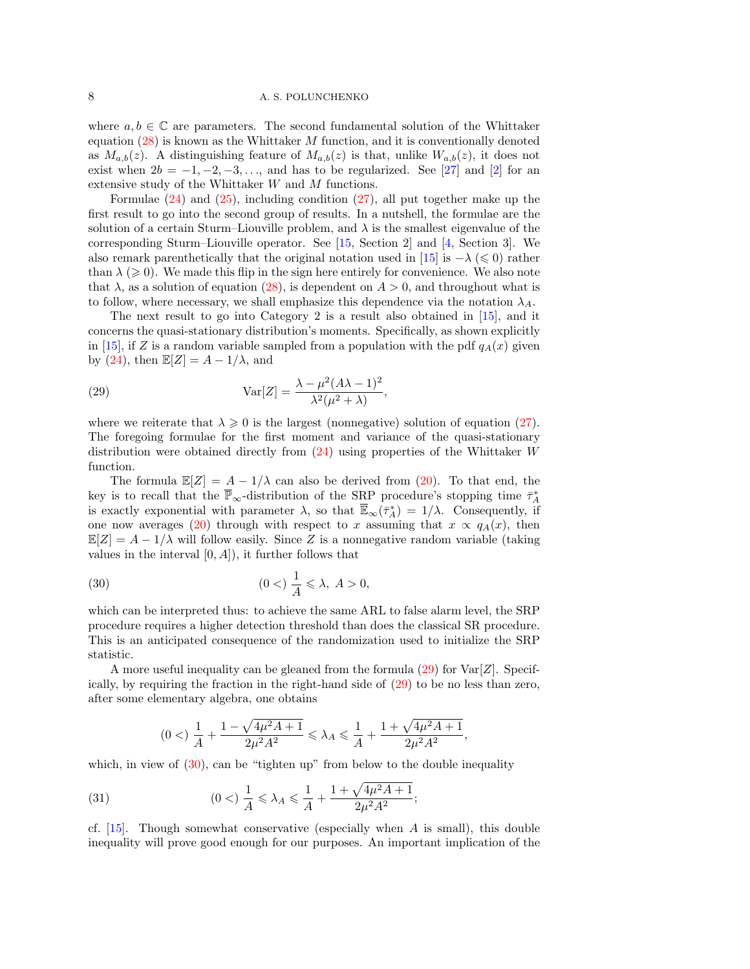# 8 A. S. POLUNCHENKO

where  $a, b \in \mathbb{C}$  are parameters. The second fundamental solution of the Whittaker equation  $(28)$  is known as the Whittaker M function, and it is conventionally denoted as  $M_{a,b}(z)$ . A distinguishing feature of  $M_{a,b}(z)$  is that, unlike  $W_{a,b}(z)$ , it does not exist when  $2b = -1, -2, -3, \ldots$ , and has to be regularized. See [\[27\]](#page-14-17) and [\[2\]](#page-13-13) for an extensive study of the Whittaker W and M functions.

Formulae [\(24\)](#page-6-3) and [\(25\)](#page-6-4), including condition [\(27\)](#page-6-5), all put together make up the first result to go into the second group of results. In a nutshell, the formulae are the solution of a certain Sturm–Liouville problem, and  $\lambda$  is the smallest eigenvalue of the corresponding Sturm–Liouville operator. See [\[15,](#page-13-9) Section 2] and [\[4,](#page-13-1) Section 3]. We also remark parenthetically that the original notation used in [\[15\]](#page-13-9) is  $-\lambda \leq 0$  rather than  $\lambda \geq 0$ . We made this flip in the sign here entirely for convenience. We also note that  $\lambda$ , as a solution of equation [\(28\)](#page-6-2), is dependent on  $A > 0$ , and throughout what is to follow, where necessary, we shall emphasize this dependence via the notation  $\lambda_A$ .

The next result to go into Category 2 is a result also obtained in [\[15\]](#page-13-9), and it concerns the quasi-stationary distribution's moments. Specifically, as shown explicitly in [\[15\]](#page-13-9), if Z is a random variable sampled from a population with the pdf  $q_A(x)$  given by [\(24\)](#page-6-3), then  $\mathbb{E}[Z] = A - 1/\lambda$ , and

<span id="page-7-0"></span>(29) 
$$
Var[Z] = \frac{\lambda - \mu^2 (A\lambda - 1)^2}{\lambda^2 (\mu^2 + \lambda)},
$$

where we reiterate that  $\lambda \geqslant 0$  is the largest (nonnegative) solution of equation [\(27\)](#page-6-5). The foregoing formulae for the first moment and variance of the quasi-stationary distribution were obtained directly from  $(24)$  using properties of the Whittaker W function.

The formula  $\mathbb{E}[Z] = A - 1/\lambda$  can also be derived from [\(20\)](#page-5-1). To that end, the key is to recall that the  $\overline{\mathbb{P}}_{\infty}$ -distribution of the SRP procedure's stopping time  $\bar{\tau}_A^*$ is exactly exponential with parameter  $\lambda$ , so that  $\overline{\mathbb{E}}_{\infty}(\overline{\tau}_A^*) = 1/\lambda$ . Consequently, if one now averages [\(20\)](#page-5-1) through with respect to x assuming that  $x \propto q_A(x)$ , then  $\mathbb{E}[Z] = A - 1/\lambda$  will follow easily. Since Z is a nonnegative random variable (taking values in the interval  $[0, A]$ , it further follows that

<span id="page-7-1"></span>(30) 
$$
(0 <) \frac{1}{A} \le \lambda, A > 0,
$$

which can be interpreted thus: to achieve the same ARL to false alarm level, the SRP procedure requires a higher detection threshold than does the classical SR procedure. This is an anticipated consequence of the randomization used to initialize the SRP statistic.

A more useful inequality can be gleaned from the formula  $(29)$  for  $\text{Var}[Z]$ . Specifically, by requiring the fraction in the right-hand side of [\(29\)](#page-7-0) to be no less than zero, after some elementary algebra, one obtains

<span id="page-7-2"></span>
$$
(0 <) \frac{1}{A} + \frac{1 - \sqrt{4\mu^2 A + 1}}{2\mu^2 A^2} \le \lambda_A \le \frac{1}{A} + \frac{1 + \sqrt{4\mu^2 A + 1}}{2\mu^2 A^2},
$$

which, in view of  $(30)$ , can be "tighten up" from below to the double inequality

(31) 
$$
(0 <) \frac{1}{A} \leq \lambda_A \leq \frac{1}{A} + \frac{1 + \sqrt{4\mu^2 A + 1}}{2\mu^2 A^2};
$$

cf.  $[15]$ . Though somewhat conservative (especially when A is small), this double inequality will prove good enough for our purposes. An important implication of the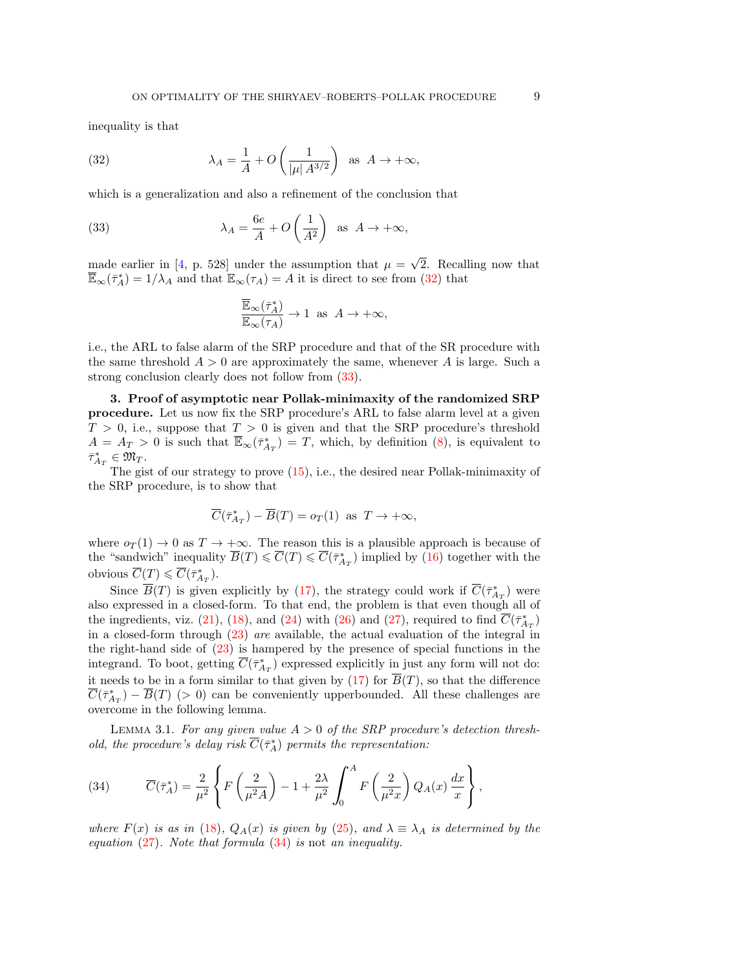inequality is that

<span id="page-8-0"></span>(32) 
$$
\lambda_A = \frac{1}{A} + O\left(\frac{1}{|\mu| A^{3/2}}\right) \text{ as } A \to +\infty,
$$

which is a generalization and also a refinement of the conclusion that

(33) 
$$
\lambda_A = \frac{6e}{A} + O\left(\frac{1}{A^2}\right) \text{ as } A \to +\infty,
$$

made earlier in [\[4,](#page-13-1) p. 528] under the assumption that  $\mu =$ √ 2. Recalling now that  $\overline{\mathbb{E}}_{\infty}(\overline{\tau}_A^*) = 1/\lambda_A$  and that  $\mathbb{E}_{\infty}(\tau_A) = A$  it is direct to see from [\(32\)](#page-8-0) that

<span id="page-8-1"></span>
$$
\frac{\overline{\mathbb{E}}_\infty(\bar\tau_A^*)}{\mathbb{E}_\infty(\tau_A)}\to 1\;\;\text{as}\;\;A\to+\infty,
$$

i.e., the ARL to false alarm of the SRP procedure and that of the SR procedure with the same threshold  $A > 0$  are approximately the same, whenever A is large. Such a strong conclusion clearly does not follow from [\(33\)](#page-8-1).

3. Proof of asymptotic near Pollak-minimaxity of the randomized SRP procedure. Let us now fix the SRP procedure's ARL to false alarm level at a given  $T > 0$ , i.e., suppose that  $T > 0$  is given and that the SRP procedure's threshold  $A = A_T > 0$  is such that  $\overline{\mathbb{E}}_{\infty}(\overline{\tau}_{A_T}^*) = T$ , which, by definition [\(8\)](#page-2-0), is equivalent to  $\bar{\tau}_{A_T}^* \in \mathfrak{M}_T.$ 

The gist of our strategy to prove [\(15\)](#page-4-1), i.e., the desired near Pollak-minimaxity of the SRP procedure, is to show that

$$
\overline{C}(\overline{\tau}_{A_T}^*) - \overline{B}(T) = o_T(1) \text{ as } T \to +\infty,
$$

where  $o_T(1) \rightarrow 0$  as  $T \rightarrow +\infty$ . The reason this is a plausible approach is because of the "sandwich" inequality  $\overline{B}(T) \leq \overline{C}(T) \leq \overline{C}(\overline{\tau}_{AT}^*)$  implied by [\(16\)](#page-4-2) together with the obvious  $\overline{C}(T) \leqslant \overline{C}(\overline{\tau}_{A_T}^*)$ .

Since  $\overline{B}(T)$  is given explicitly by [\(17\)](#page-5-0), the strategy could work if  $\overline{C}(\bar{\tau}_{A_T}^*)$  were also expressed in a closed-form. To that end, the problem is that even though all of the ingredients, viz. [\(21\)](#page-5-3), [\(18\)](#page-5-2), and [\(24\)](#page-6-3) with [\(26\)](#page-6-6) and [\(27\)](#page-6-5), required to find  $\overline{C}(\overline{\tau}_{A_T}^*)$ in a closed-form through [\(23\)](#page-6-1) are available, the actual evaluation of the integral in the right-hand side of [\(23\)](#page-6-1) is hampered by the presence of special functions in the integrand. To boot, getting  $\overline{C}(\overline{\tau}_{A_T}^*)$  expressed explicitly in just any form will not do: it needs to be in a form similar to that given by  $(17)$  for  $\overline{B}(T)$ , so that the difference  $\overline{C}(\overline{\tau}_{A_T}^*) - \overline{B}(T)$  (> 0) can be conveniently upperbounded. All these challenges are overcome in the following lemma.

<span id="page-8-3"></span>LEMMA 3.1. For any given value  $A > 0$  of the SRP procedure's detection threshold, the procedure's delay risk  $\overline{C}(\overline{\tau}_A^*)$  permits the representation:

<span id="page-8-2"></span>(34) 
$$
\overline{C}(\overline{\tau}_A^*) = \frac{2}{\mu^2} \left\{ F\left(\frac{2}{\mu^2 A}\right) - 1 + \frac{2\lambda}{\mu^2} \int_0^A F\left(\frac{2}{\mu^2 x}\right) Q_A(x) \frac{dx}{x} \right\},
$$

where  $F(x)$  is as in [\(18\)](#page-5-2),  $Q_A(x)$  is given by [\(25\)](#page-6-4), and  $\lambda \equiv \lambda_A$  is determined by the equation  $(27)$ . Note that formula  $(34)$  is not an inequality.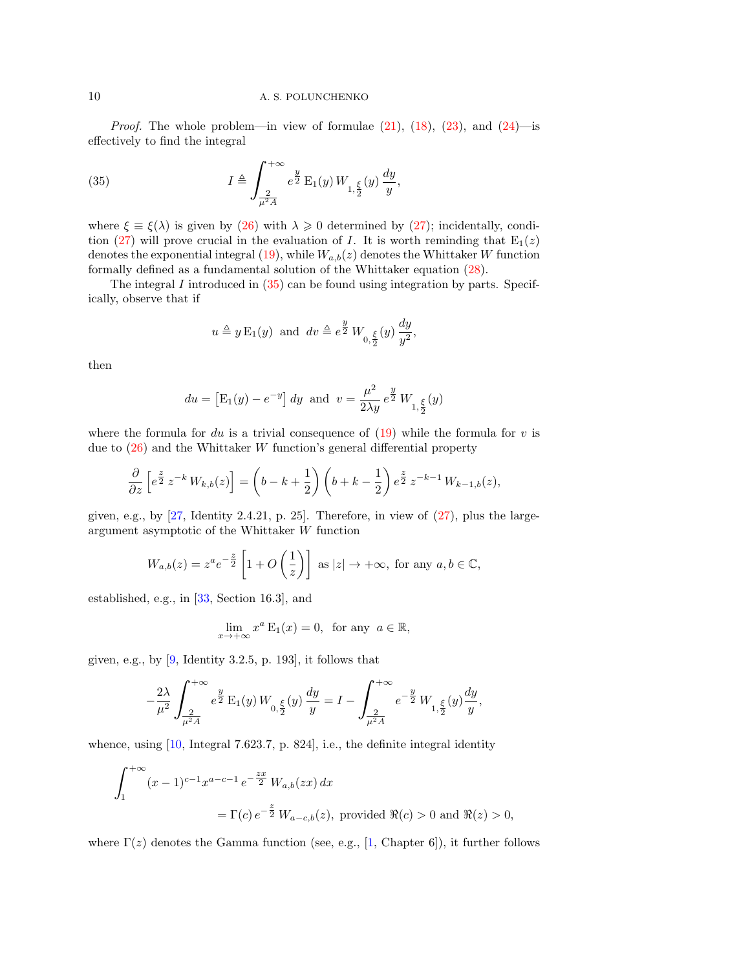*Proof.* The whole problem—in view of formulae  $(21)$ ,  $(18)$ ,  $(23)$ , and  $(24)$ —is effectively to find the integral

<span id="page-9-0"></span>(35) 
$$
I \triangleq \int_{\frac{2}{\mu^2 A}}^{+\infty} e^{\frac{y}{2}} \mathcal{E}_1(y) W_{1,\frac{\xi}{2}}(y) \frac{dy}{y},
$$

where  $\xi \equiv \xi(\lambda)$  is given by [\(26\)](#page-6-6) with  $\lambda \geq 0$  determined by [\(27\)](#page-6-5); incidentally, condi-tion [\(27\)](#page-6-5) will prove crucial in the evaluation of I. It is worth reminding that  $E_1(z)$ denotes the exponential integral [\(19\)](#page-5-4), while  $W_{a,b}(z)$  denotes the Whittaker W function formally defined as a fundamental solution of the Whittaker equation [\(28\)](#page-6-2).

The integral  $I$  introduced in  $(35)$  can be found using integration by parts. Specifically, observe that if

$$
u \triangleq y \mathcal{E}_1(y)
$$
 and  $dv \triangleq e^{\frac{y}{2}} W_{0, \frac{\xi}{2}}(y) \frac{dy}{y^2}$ ,

then

$$
du = [E_1(y) - e^{-y}] dy
$$
 and  $v = \frac{\mu^2}{2\lambda y} e^{\frac{y}{2}} W_{1, \frac{\xi}{2}}(y)$ 

where the formula for du is a trivial consequence of  $(19)$  while the formula for v is due to  $(26)$  and the Whittaker W function's general differential property

$$
\frac{\partial}{\partial z} \left[ e^{\frac{z}{2}} z^{-k} W_{k,b}(z) \right] = \left( b - k + \frac{1}{2} \right) \left( b + k - \frac{1}{2} \right) e^{\frac{z}{2}} z^{-k-1} W_{k-1,b}(z),
$$

given, e.g., by  $[27,$  Identity 2.4.21, p. 25]. Therefore, in view of  $(27)$ , plus the largeargument asymptotic of the Whittaker W function

$$
W_{a,b}(z) = z^a e^{-\frac{z}{2}} \left[ 1 + O\left(\frac{1}{z}\right) \right] \text{ as } |z| \to +\infty, \text{ for any } a, b \in \mathbb{C},
$$

established, e.g., in [\[33,](#page-14-18) Section 16.3], and

$$
\lim_{x \to +\infty} x^a \mathcal{E}_1(x) = 0, \text{ for any } a \in \mathbb{R},
$$

given, e.g., by  $[9]$ , Identity 3.2.5, p. 193, it follows that

$$
-\frac{2\lambda}{\mu^2} \int_{\frac{2}{\mu^2 A}}^{+\infty} e^{\frac{y}{2}} \mathcal{E}_1(y) \, W_{0, \frac{\xi}{2}}(y) \, \frac{dy}{y} = I - \int_{\frac{2}{\mu^2 A}}^{+\infty} e^{-\frac{y}{2}} \, W_{1, \frac{\xi}{2}}(y) \frac{dy}{y},
$$

whence, using [\[10,](#page-13-14) Integral 7.623.7, p. 824], i.e., the definite integral identity

$$
\int_{1}^{+\infty} (x-1)^{c-1} x^{a-c-1} e^{-\frac{zx}{2}} W_{a,b}(zx) dx
$$
  
=  $\Gamma(c) e^{-\frac{z}{2}} W_{a-c,b}(z)$ , provided  $\Re(c) > 0$  and  $\Re(z) > 0$ ,

where  $\Gamma(z)$  denotes the Gamma function (see, e.g., [\[1,](#page-13-12) Chapter 6]), it further follows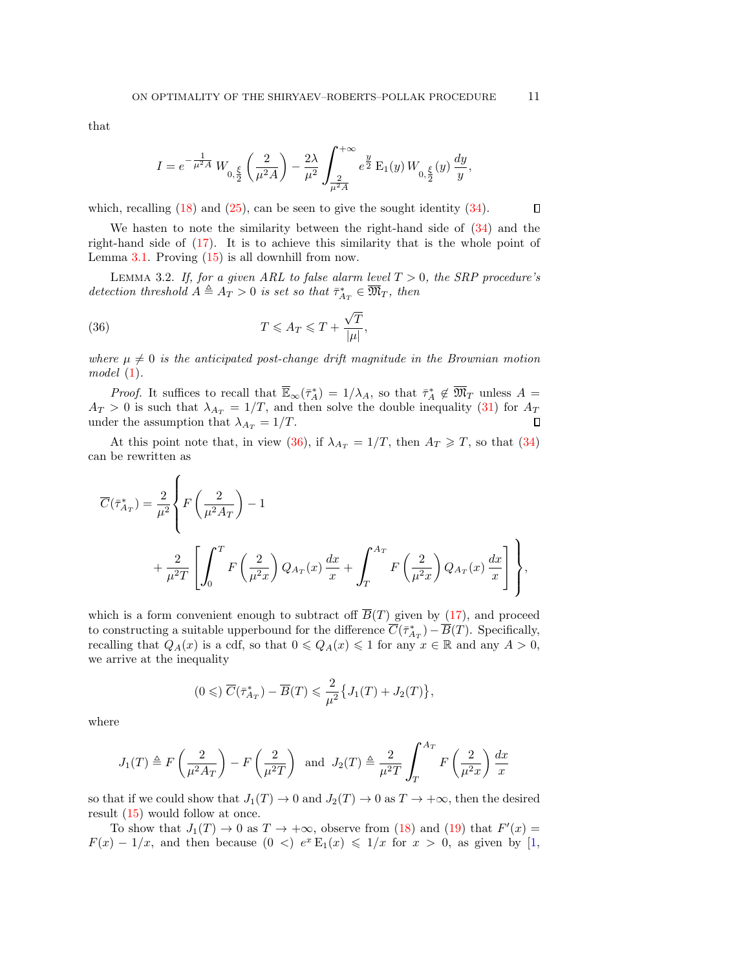that

$$
I = e^{-\tfrac{1}{\mu^2 A}} \, W_{0,\tfrac{\xi}{2}}\left(\frac{2}{\mu^2 A}\right) - \frac{2\lambda}{\mu^2} \int_{\frac{2}{\mu^2 A}}^{+\infty} e^{\tfrac{y}{2}} \, \mathcal{E}_1(y) \, W_{0,\tfrac{\xi}{2}}(y) \, \frac{dy}{y},
$$

which, recalling  $(18)$  and  $(25)$ , can be seen to give the sought identity  $(34)$ .

We hasten to note the similarity between the right-hand side of  $(34)$  and the right-hand side of [\(17\)](#page-5-0). It is to achieve this similarity that is the whole point of Lemma [3.1.](#page-8-3) Proving [\(15\)](#page-4-1) is all downhill from now.

<span id="page-10-1"></span>LEMMA 3.2. If, for a given ARL to false alarm level  $T > 0$ , the SRP procedure's detection threshold  $A \triangleq A_T > 0$  is set so that  $\bar{\tau}_{A_T}^* \in \overline{\mathfrak{M}}_T$ , then

<span id="page-10-0"></span>(36) 
$$
T \leqslant A_T \leqslant T + \frac{\sqrt{T}}{|\mu|},
$$

 $\epsilon$ 

where  $\mu \neq 0$  is the anticipated post-change drift magnitude in the Brownian motion model [\(1\)](#page-0-0).

*Proof.* It suffices to recall that  $\overline{\mathbb{E}}_{\infty}(\overline{\tau}_A^*) = 1/\lambda_A$ , so that  $\overline{\tau}_A^* \notin \overline{\mathfrak{M}}_T$  unless  $A =$  $A_T > 0$  is such that  $\lambda_{A_T} = 1/T$ , and then solve the double inequality [\(31\)](#page-7-2) for  $A_T$ under the assumption that  $\lambda_{A_T} = 1/T$ .  $\Box$ 

At this point note that, in view [\(36\)](#page-10-0), if  $\lambda_{A_T} = 1/T$ , then  $A_T \geq T$ , so that [\(34\)](#page-8-2) can be rewritten as

$$
\overline{C}(\overline{\tau}_{A_T}^*) = \frac{2}{\mu^2} \left\{ F\left(\frac{2}{\mu^2 A_T}\right) - 1 + \frac{2}{\mu^2 T} \left[ \int_0^T F\left(\frac{2}{\mu^2 x}\right) Q_{A_T}(x) \frac{dx}{x} + \int_T^{A_T} F\left(\frac{2}{\mu^2 x}\right) Q_{A_T}(x) \frac{dx}{x} \right] \right\},
$$

which is a form convenient enough to subtract off  $\overline{B}(T)$  given by [\(17\)](#page-5-0), and proceed to constructing a suitable upperbound for the difference  $\overline{C}(\overline{\tau}_{A_T}^*) - \overline{B}(T)$ . Specifically, recalling that  $Q_A(x)$  is a cdf, so that  $0 \leq Q_A(x) \leq 1$  for any  $x \in \mathbb{R}$  and any  $A > 0$ , we arrive at the inequality

$$
(0\leqslant)\ \overline{C}(\bar{\tau}_{A_T}^*)-\overline{B}(T)\leqslant \frac{2}{\mu^2}\big\{J_1(T)+J_2(T)\big\},
$$

where

$$
J_1(T) \triangleq F\left(\frac{2}{\mu^2 A_T}\right) - F\left(\frac{2}{\mu^2 T}\right)
$$
 and  $J_2(T) \triangleq \frac{2}{\mu^2 T} \int_T^{A_T} F\left(\frac{2}{\mu^2 x}\right) \frac{dx}{x}$ 

so that if we could show that  $J_1(T) \to 0$  and  $J_2(T) \to 0$  as  $T \to +\infty$ , then the desired result [\(15\)](#page-4-1) would follow at once.

To show that  $J_1(T) \to 0$  as  $T \to +\infty$ , observe from [\(18\)](#page-5-2) and [\(19\)](#page-5-4) that  $F'(x) =$  $F(x) - 1/x$ , and then because  $(0 <) e^x E_1(x) \leq 1/x$  for  $x > 0$ , as given by [\[1,](#page-13-12)

 $\Box$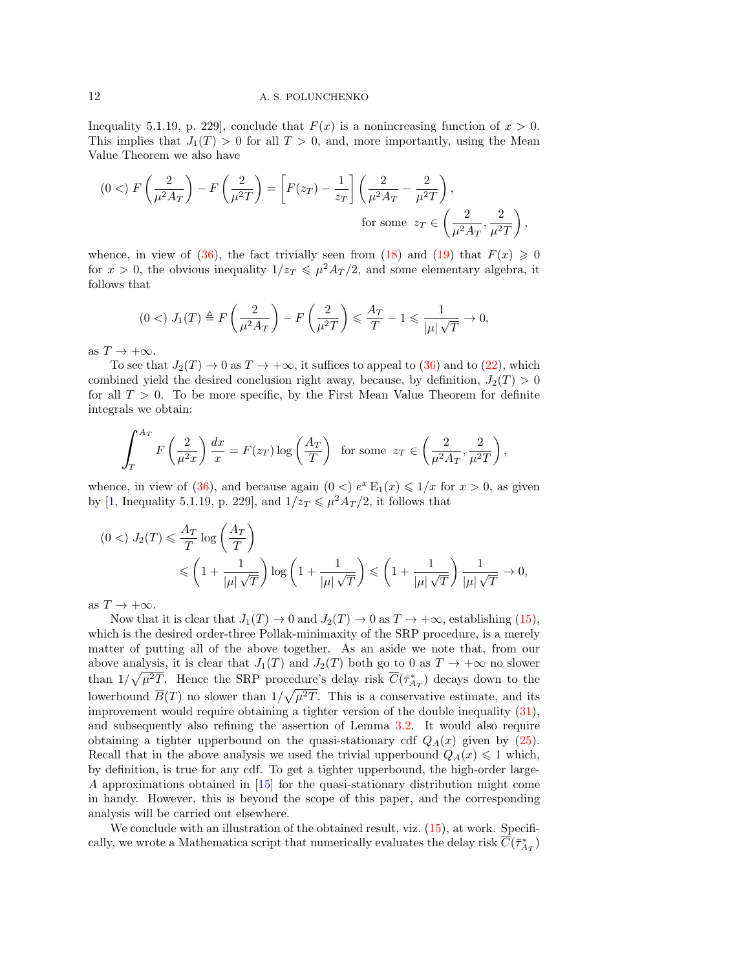Inequality 5.1.19, p. 229], conclude that  $F(x)$  is a nonincreasing function of  $x > 0$ . This implies that  $J_1(T) > 0$  for all  $T > 0$ , and, more importantly, using the Mean Value Theorem we also have

$$
(0 <) F\left(\frac{2}{\mu^2 A_T}\right) - F\left(\frac{2}{\mu^2 T}\right) = \left[F(z_T) - \frac{1}{z_T}\right] \left(\frac{2}{\mu^2 A_T} - \frac{2}{\mu^2 T}\right),
$$
  
for some  $z_T \in \left(\frac{2}{\mu^2 A_T}, \frac{2}{\mu^2 T}\right)$ ,

whence, in view of [\(36\)](#page-10-0), the fact trivially seen from [\(18\)](#page-5-2) and [\(19\)](#page-5-4) that  $F(x) \ge 0$ for  $x > 0$ , the obvious inequality  $1/z_T \leq \mu^2 A_T/2$ , and some elementary algebra, it follows that

$$
(0 <) J_1(T) \triangleq F\left(\frac{2}{\mu^2 A_T}\right) - F\left(\frac{2}{\mu^2 T}\right) \leq \frac{A_T}{T} - 1 \leq \frac{1}{|\mu| \sqrt{T}} \to 0,
$$

as  $T \to +\infty$ .

To see that  $J_2(T) \to 0$  as  $T \to +\infty$ , it suffices to appeal to [\(36\)](#page-10-0) and to [\(22\)](#page-6-0), which combined yield the desired conclusion right away, because, by definition,  $J_2(T) > 0$ for all  $T > 0$ . To be more specific, by the First Mean Value Theorem for definite integrals we obtain:

$$
\int_T^{A_T} F\left(\frac{2}{\mu^2 x}\right) \frac{dx}{x} = F(z_T) \log\left(\frac{A_T}{T}\right) \text{ for some } z_T \in \left(\frac{2}{\mu^2 A_T}, \frac{2}{\mu^2 T}\right),\,
$$

whence, in view of [\(36\)](#page-10-0), and because again  $(0 <) e^x \mathbb{E}_1(x) \leq 1/x$  for  $x > 0$ , as given by [\[1,](#page-13-12) Inequality 5.1.19, p. 229], and  $1/z_T \leq \mu^2 A_T/2$ , it follows that

$$
(0 <) J_2(T) \leqslant \frac{A_T}{T} \log \left( \frac{A_T}{T} \right)
$$
  
 
$$
\leqslant \left( 1 + \frac{1}{|\mu| \sqrt{T}} \right) \log \left( 1 + \frac{1}{|\mu| \sqrt{T}} \right) \leqslant \left( 1 + \frac{1}{|\mu| \sqrt{T}} \right) \frac{1}{|\mu| \sqrt{T}} \to 0,
$$

as  $T \to +\infty$ .

Now that it is clear that  $J_1(T) \to 0$  and  $J_2(T) \to 0$  as  $T \to +\infty$ , establishing [\(15\)](#page-4-1), which is the desired order-three Pollak-minimaxity of the SRP procedure, is a merely matter of putting all of the above together. As an aside we note that, from our above analysis, it is clear that  $J_1(T)$  and  $J_2(T)$  both go to 0 as  $T \to +\infty$  no slower than  $1/\sqrt{\mu^2T}$ . Hence the SRP procedure's delay risk  $\overline{C}(\overline{\tau}_{A_T}^*)$  decays down to the lowerbound  $\overline{B}(T)$  no slower than  $1/\sqrt{\mu^2T}$ . This is a conservative estimate, and its improvement would require obtaining a tighter version of the double inequality [\(31\)](#page-7-2), and subsequently also refining the assertion of Lemma [3.2.](#page-10-1) It would also require obtaining a tighter upperbound on the quasi-stationary cdf  $Q_A(x)$  given by [\(25\)](#page-6-4). Recall that in the above analysis we used the trivial upperbound  $Q_A(x) \leq 1$  which, by definition, is true for any cdf. To get a tighter upperbound, the high-order large-A approximations obtained in [\[15\]](#page-13-9) for the quasi-stationary distribution might come in handy. However, this is beyond the scope of this paper, and the corresponding analysis will be carried out elsewhere.

We conclude with an illustration of the obtained result, viz.  $(15)$ , at work. Specifically, we wrote a Mathematica script that numerically evaluates the delay risk  $\overline{C}(\bar{\tau}^*_{A_T})$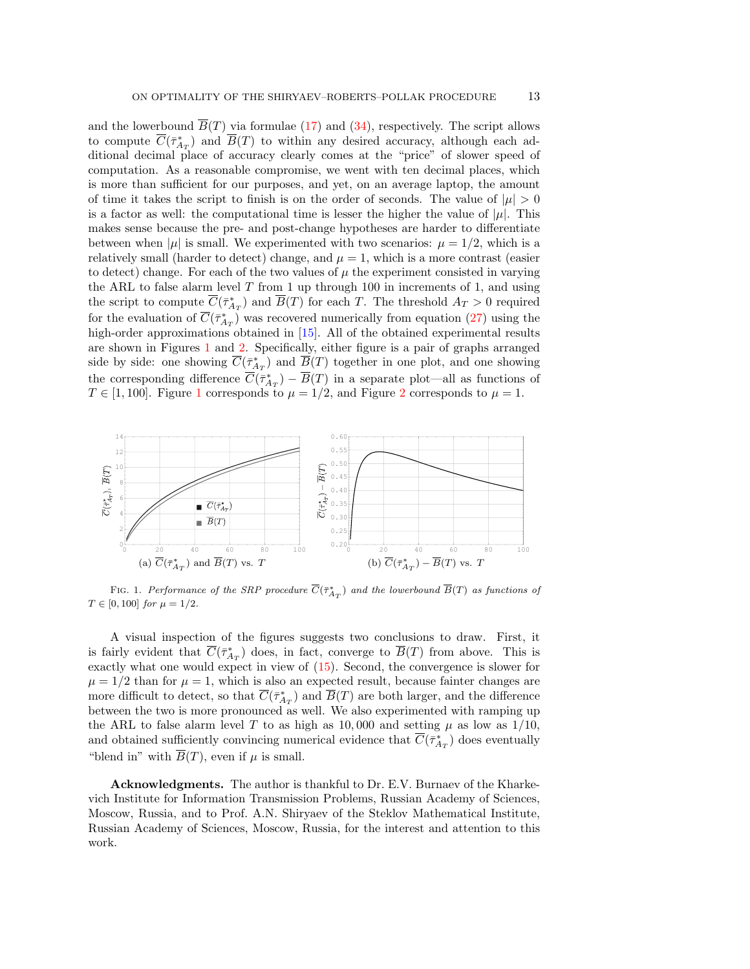and the lowerbound  $\overline{B}(T)$  via formulae [\(17\)](#page-5-0) and [\(34\)](#page-8-2), respectively. The script allows to compute  $\overline{C}(\overline{\tau}_{A_T}^*)$  and  $\overline{B}(T)$  to within any desired accuracy, although each additional decimal place of accuracy clearly comes at the "price" of slower speed of computation. As a reasonable compromise, we went with ten decimal places, which is more than sufficient for our purposes, and yet, on an average laptop, the amount of time it takes the script to finish is on the order of seconds. The value of  $|\mu| > 0$ is a factor as well: the computational time is lesser the higher the value of  $|\mu|$ . This makes sense because the pre- and post-change hypotheses are harder to differentiate between when  $|\mu|$  is small. We experimented with two scenarios:  $\mu = 1/2$ , which is a relatively small (harder to detect) change, and  $\mu = 1$ , which is a more contrast (easier to detect) change. For each of the two values of  $\mu$  the experiment consisted in varying the ARL to false alarm level  $T$  from 1 up through 100 in increments of 1, and using the script to compute  $\overline{C}(\bar{\tau}_{A_T}^*)$  and  $\overline{B}(T)$  for each T. The threshold  $A_T > 0$  required for the evaluation of  $\overline{C}(\overline{\tau}_{A_T}^*)$  was recovered numerically from equation [\(27\)](#page-6-5) using the high-order approximations obtained in [\[15\]](#page-13-9). All of the obtained experimental results are shown in Figures [1](#page-12-0) and [2.](#page-13-15) Specifically, either figure is a pair of graphs arranged side by side: one showing  $\overline{C}(\overline{\tau}_{A_T}^*)$  and  $\overline{B}(T)$  together in one plot, and one showing the corresponding difference  $\overline{C}(\overline{\tau}_{A_T}^*) - \overline{B}(T)$  in a separate plot—all as functions of  $T \in [1, 100]$  $T \in [1, 100]$  $T \in [1, 100]$ . Figure 1 corresponds to  $\mu = 1/2$  $\mu = 1/2$ , and Figure 2 corresponds to  $\mu = 1$ .

<span id="page-12-0"></span>

FIG. 1. Performance of the SRP procedure  $\overline{C}(\bar{\tau}_{A_T}^*)$  and the lowerbound  $\overline{B}(T)$  as functions of  $T \in [0, 100]$  for  $\mu = 1/2$ .

A visual inspection of the figures suggests two conclusions to draw. First, it is fairly evident that  $\overline{C}(\overline{\tau}_{A_T}^*)$  does, in fact, converge to  $\overline{B}(T)$  from above. This is exactly what one would expect in view of [\(15\)](#page-4-1). Second, the convergence is slower for  $\mu = 1/2$  than for  $\mu = 1$ , which is also an expected result, because fainter changes are more difficult to detect, so that  $\overline{C}(\bar{\tau}_{A_T}^*)$  and  $\overline{B}(T)$  are both larger, and the difference between the two is more pronounced as well. We also experimented with ramping up the ARL to false alarm level T to as high as 10,000 and setting  $\mu$  as low as 1/10, and obtained sufficiently convincing numerical evidence that  $\overline{C}(\bar{\tau}_{A_T}^*)$  does eventually "blend in" with  $\overline{B}(T)$ , even if  $\mu$  is small.

Acknowledgments. The author is thankful to Dr. E.V. Burnaev of the Kharkevich Institute for Information Transmission Problems, Russian Academy of Sciences, Moscow, Russia, and to Prof. A.N. Shiryaev of the Steklov Mathematical Institute, Russian Academy of Sciences, Moscow, Russia, for the interest and attention to this work.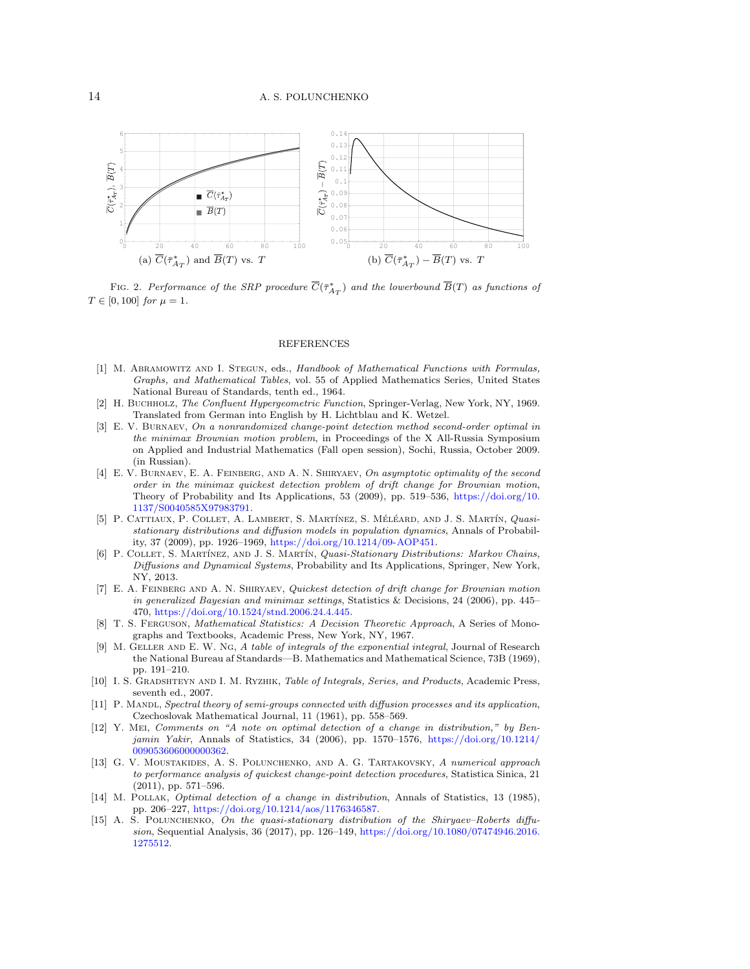<span id="page-13-15"></span>

FIG. 2. Performance of the SRP procedure  $\overline{C}(\bar{\tau}_{A_T}^*)$  and the lowerbound  $\overline{B}(T)$  as functions of  $T \in [0, 100]$  for  $\mu = 1$ .

## REFERENCES

- <span id="page-13-12"></span>[1] M. ABRAMOWITZ AND I. STEGUN, eds., Handbook of Mathematical Functions with Formulas, Graphs, and Mathematical Tables, vol. 55 of Applied Mathematics Series, United States National Bureau of Standards, tenth ed., 1964.
- <span id="page-13-13"></span>[2] H. BUCHHOLZ, The Confluent Hypergeometric Function, Springer-Verlag, New York, NY, 1969. Translated from German into English by H. Lichtblau and K. Wetzel.
- <span id="page-13-5"></span>[3] E. V. Burnaev, On a nonrandomized change-point detection method second-order optimal in the minimax Brownian motion problem, in Proceedings of the X All-Russia Symposium on Applied and Industrial Mathematics (Fall open session), Sochi, Russia, October 2009. (in Russian).
- <span id="page-13-1"></span>[4] E. V. BURNAEV, E. A. FEINBERG, AND A. N. SHIRYAEV, On asymptotic optimality of the second order in the minimax quickest detection problem of drift change for Brownian motion, Theory of Probability and Its Applications, 53 (2009), pp. 519–536, [https://doi.org/10.](https://doi.org/10.1137/S0040585X97983791) [1137/S0040585X97983791.](https://doi.org/10.1137/S0040585X97983791)
- <span id="page-13-7"></span>[5] P. CATTIAUX, P. COLLET, A. LAMBERT, S. MARTÍNEZ, S. MÉLÉARD, AND J. S. MARTÍN, Quasistationary distributions and diffusion models in population dynamics, Annals of Probability, 37 (2009), pp. 1926–1969, [https://doi.org/10.1214/09-AOP451.](https://doi.org/10.1214/09-AOP451)
- <span id="page-13-8"></span>[6] P. COLLET, S. MARTÍNEZ, AND J. S. MARTÍN, Quasi-Stationary Distributions: Markov Chains, Diffusions and Dynamical Systems, Probability and Its Applications, Springer, New York, NY, 2013.
- <span id="page-13-2"></span>[7] E. A. FEINBERG AND A. N. SHIRYAEV, Quickest detection of drift change for Brownian motion in generalized Bayesian and minimax settings, Statistics & Decisions, 24 (2006), pp. 445– 470, [https://doi.org/10.1524/stnd.2006.24.4.445.](https://doi.org/10.1524/stnd.2006.24.4.445)
- <span id="page-13-10"></span>[8] T. S. FERGUSON, *Mathematical Statistics: A Decision Theoretic Approach*, A Series of Monographs and Textbooks, Academic Press, New York, NY, 1967.
- <span id="page-13-11"></span>[9] M. GELLER AND E. W. NG, A table of integrals of the exponential integral, Journal of Research the National Bureau af Standards—B. Mathematics and Mathematical Science, 73B (1969), pp. 191–210.
- <span id="page-13-14"></span>[10] I. S. GRADSHTEYN AND I. M. RYZHIK, Table of Integrals, Series, and Products, Academic Press, seventh ed., 2007.
- <span id="page-13-6"></span>[11] P. MANDL, Spectral theory of semi-groups connected with diffusion processes and its application, Czechoslovak Mathematical Journal, 11 (1961), pp. 558–569.
- <span id="page-13-3"></span>[12] Y. Mei, Comments on "A note on optimal detection of a change in distribution," by Benjamin Yakir, Annals of Statistics, 34 (2006), pp. 1570–1576, [https://doi.org/10.1214/](https://doi.org/10.1214/009053606000000362) [009053606000000362.](https://doi.org/10.1214/009053606000000362)
- <span id="page-13-4"></span>[13] G. V. Moustakides, A. S. Polunchenko, and A. G. Tartakovsky, A numerical approach to performance analysis of quickest change-point detection procedures, Statistica Sinica, 21 (2011), pp. 571–596.
- <span id="page-13-0"></span>[14] M. POLLAK, *Optimal detection of a change in distribution*, Annals of Statistics, 13 (1985), pp. 206–227, [https://doi.org/10.1214/aos/1176346587.](https://doi.org/10.1214/aos/1176346587)
- <span id="page-13-9"></span>[15] A. S. POLUNCHENKO, On the quasi-stationary distribution of the Shiryaev–Roberts diffusion, Sequential Analysis, 36 (2017), pp. 126–149, [https://doi.org/10.1080/07474946.2016.](https://doi.org/10.1080/07474946.2016.1275512) [1275512.](https://doi.org/10.1080/07474946.2016.1275512)